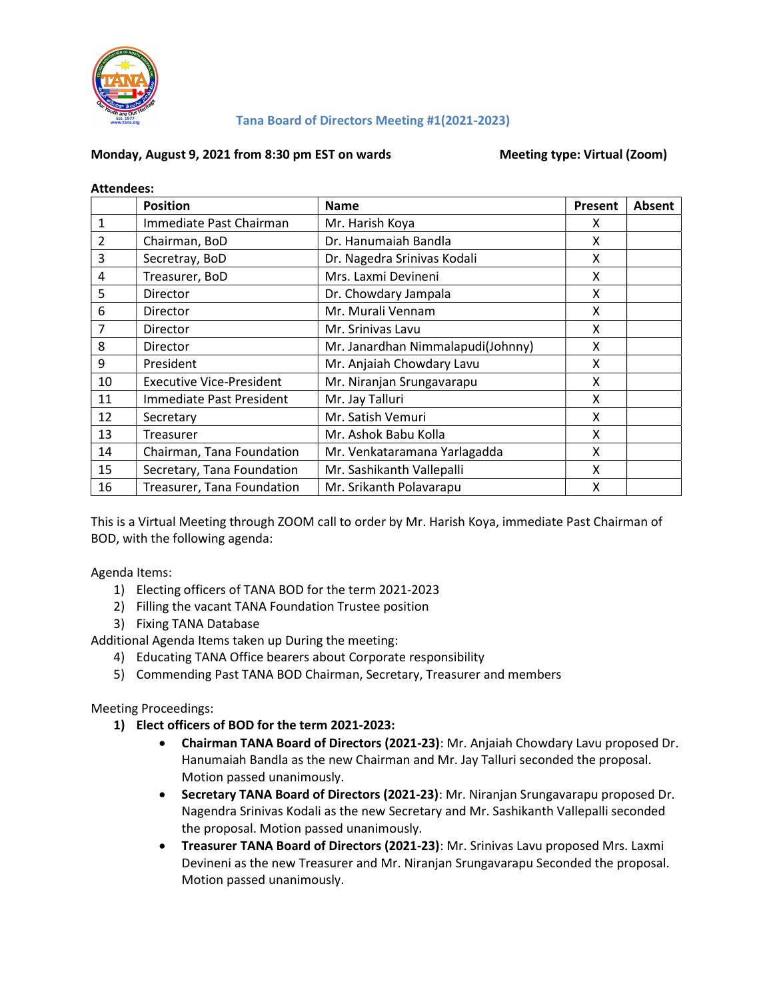

#### Tana Board of Directors Meeting #1(2021-2023)

#### Monday, August 9, 2021 from 8:30 pm EST on wards Meeting type: Virtual (Zoom)

| <b>Attendees:</b> |                                 |                                   |         |        |
|-------------------|---------------------------------|-----------------------------------|---------|--------|
|                   | <b>Position</b>                 | <b>Name</b>                       | Present | Absent |
| $\mathbf{1}$      | Immediate Past Chairman         | Mr. Harish Koya                   | x       |        |
| 2                 | Chairman, BoD                   | Dr. Hanumaiah Bandla              | X       |        |
| 3                 | Secretray, BoD                  | Dr. Nagedra Srinivas Kodali       | x       |        |
| 4                 | Treasurer, BoD                  | Mrs. Laxmi Devineni               | X       |        |
| 5                 | Director                        | Dr. Chowdary Jampala              | X       |        |
| 6                 | Director                        | Mr. Murali Vennam                 | X       |        |
| 7                 | Director                        | Mr. Srinivas Lavu                 | x       |        |
| 8                 | Director                        | Mr. Janardhan Nimmalapudi(Johnny) | X       |        |
| 9                 | President                       | Mr. Anjaiah Chowdary Lavu         | X       |        |
| 10                | <b>Executive Vice-President</b> | Mr. Niranjan Srungavarapu         | X       |        |
| 11                | Immediate Past President        | Mr. Jay Talluri                   | X       |        |
| 12                | Secretary                       | Mr. Satish Vemuri                 | X       |        |
| 13                | Treasurer                       | Mr. Ashok Babu Kolla              | X       |        |
| 14                | Chairman, Tana Foundation       | Mr. Venkataramana Yarlagadda      | X       |        |
| 15                | Secretary, Tana Foundation      | Mr. Sashikanth Vallepalli         | X       |        |
| 16                | Treasurer, Tana Foundation      | Mr. Srikanth Polavarapu           | x       |        |

This is a Virtual Meeting through ZOOM call to order by Mr. Harish Koya, immediate Past Chairman of BOD, with the following agenda:

Agenda Items:

- 1) Electing officers of TANA BOD for the term 2021-2023
- 2) Filling the vacant TANA Foundation Trustee position
- 3) Fixing TANA Database

Additional Agenda Items taken up During the meeting:

- 4) Educating TANA Office bearers about Corporate responsibility
- 5) Commending Past TANA BOD Chairman, Secretary, Treasurer and members

Meeting Proceedings:

- 1) Elect officers of BOD for the term 2021-2023:
	- Chairman TANA Board of Directors (2021-23): Mr. Anjaiah Chowdary Lavu proposed Dr. Hanumaiah Bandla as the new Chairman and Mr. Jay Talluri seconded the proposal. Motion passed unanimously.
	- **Secretary TANA Board of Directors (2021-23)**: Mr. Niranjan Srungavarapu proposed Dr. Nagendra Srinivas Kodali as the new Secretary and Mr. Sashikanth Vallepalli seconded the proposal. Motion passed unanimously.
	- Treasurer TANA Board of Directors (2021-23): Mr. Srinivas Lavu proposed Mrs. Laxmi Devineni as the new Treasurer and Mr. Niranjan Srungavarapu Seconded the proposal. Motion passed unanimously.